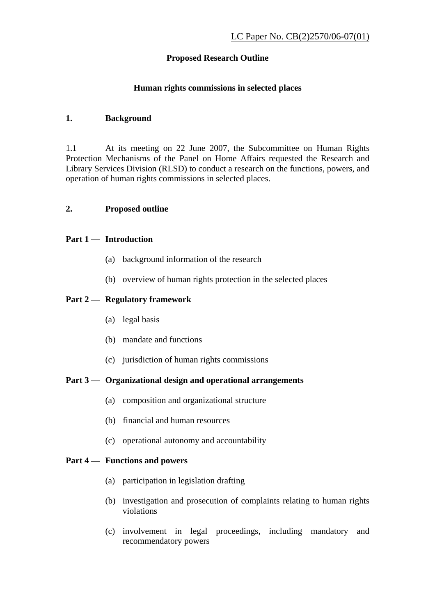# **Proposed Research Outline**

#### **Human rights commissions in selected places**

### **1. Background**

1.1 At its meeting on 22 June 2007, the Subcommittee on Human Rights Protection Mechanisms of the Panel on Home Affairs requested the Research and Library Services Division (RLSD) to conduct a research on the functions, powers, and operation of human rights commissions in selected places.

#### **2. Proposed outline**

### **Part 1 — Introduction**

- (a) background information of the research
- (b) overview of human rights protection in the selected places

### **Part 2 — Regulatory framework**

- (a) legal basis
- (b) mandate and functions
- (c) jurisdiction of human rights commissions

## **Part 3 — Organizational design and operational arrangements**

- (a) composition and organizational structure
- (b) financial and human resources
- (c) operational autonomy and accountability

# **Part 4 — Functions and powers**

- (a) participation in legislation drafting
- (b) investigation and prosecution of complaints relating to human rights violations
- (c) involvement in legal proceedings, including mandatory and recommendatory powers